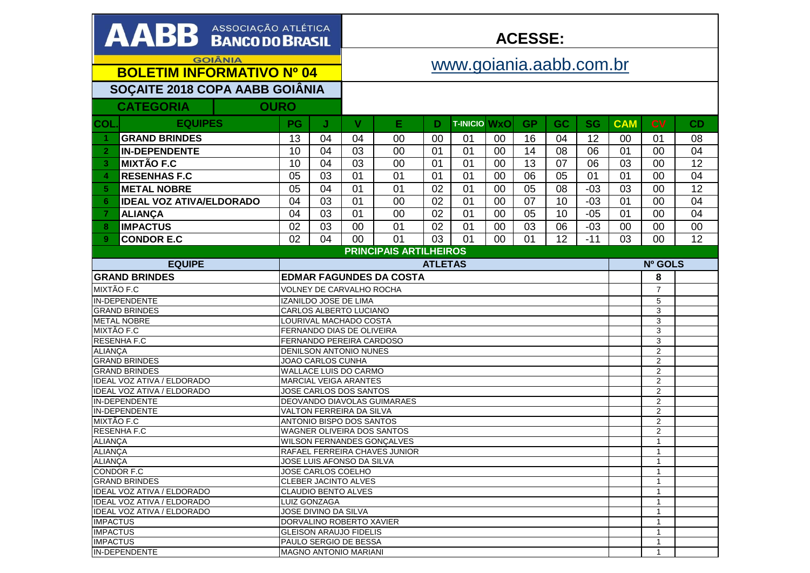| AABB ASSOCIAÇÃO ATLÉTICA                      |    |                                                         | <b>ACESSE:</b>          |                                    |    |                     |    |              |                   |           |                |                                  |                 |
|-----------------------------------------------|----|---------------------------------------------------------|-------------------------|------------------------------------|----|---------------------|----|--------------|-------------------|-----------|----------------|----------------------------------|-----------------|
| <b>GOIÂNIA</b>                                |    |                                                         | www.goiania.aabb.com.br |                                    |    |                     |    |              |                   |           |                |                                  |                 |
| <b>BOLETIM INFORMATIVO Nº 04</b>              |    |                                                         |                         |                                    |    |                     |    |              |                   |           |                |                                  |                 |
| SOÇAITE 2018 COPA AABB GOIÂNIA                |    |                                                         |                         |                                    |    |                     |    |              |                   |           |                |                                  |                 |
| <b>CATEGORIA</b><br><b>OURO</b>               |    |                                                         |                         |                                    |    |                     |    |              |                   |           |                |                                  |                 |
|                                               |    |                                                         |                         |                                    |    |                     |    |              |                   |           |                |                                  |                 |
| <b>EQUIPES</b><br>COL                         | PG | J                                                       | V                       | Е                                  | D  | <b>T-INICIO WXO</b> |    | <b>GP</b>    | GC                | <b>SG</b> | <b>CAM</b>     | <b>CV</b>                        | CD              |
| <b>GRAND BRINDES</b><br>1                     | 13 | 04                                                      | 04                      | 00                                 | 00 | 01                  | 00 | 16           | 04                | 12        | 00             | 01                               | 08              |
| <b>IN-DEPENDENTE</b><br>$\overline{2}$        | 10 | 04                                                      | 03                      | 00                                 | 01 | 01                  | 00 | 14           | 08                | 06        | 01             | 00                               | 04              |
| <b>MIXTÃO F.C</b><br>3                        | 10 | 04                                                      | 03                      | 00                                 | 01 | 01                  | 00 | 13           | 07                | 06        | 03             | 00                               | 12              |
| <b>RESENHAS F.C</b><br>4                      | 05 | 03                                                      | 01                      | 01                                 | 01 | 01                  | 00 | 06           | 05                | 01        | 01             | 00                               | 04              |
| <b>METAL NOBRE</b><br>5 <sup>1</sup>          | 05 | 04                                                      | 01                      | 01                                 | 02 | 01                  | 00 | 05           | 08                | $-03$     | 03             | 00                               | $\overline{12}$ |
| <b>IDEAL VOZ ATIVA/ELDORADO</b><br>6          | 04 | 03                                                      | 01                      | 00                                 | 02 | 01                  | 00 | 07           | 10                | $-03$     | 01             | 00                               | 04              |
| <b>ALIANCA</b><br>$\overline{7}$              | 04 | 03                                                      | 01                      | 00                                 | 02 | 01                  | 00 | 05           | 10                | $-05$     | 01             | 00                               | 04              |
| <b>IMPACTUS</b><br>8                          | 02 | 03                                                      | 00                      | 01                                 | 02 | 01                  | 00 | 03           | 06                | $-03$     | 00             | 00                               | 00              |
|                                               | 02 |                                                         |                         |                                    |    |                     |    | 01           | 12                | $-11$     |                | 00                               | 12              |
| 9 <sup>°</sup><br><b>CONDOR E.C</b>           |    | 04                                                      | 00                      | 01                                 | 03 | 01                  | 00 |              |                   |           | 03             |                                  |                 |
|                                               |    |                                                         |                         | <b>PRINCIPAIS ARTILHEIROS</b>      |    |                     |    |              |                   |           |                |                                  |                 |
| <b>EQUIPE</b>                                 |    |                                                         | <b>ATLETAS</b>          |                                    |    |                     |    |              |                   |           | Nº GOLS        |                                  |                 |
| <b>GRAND BRINDES</b>                          |    | <b>EDMAR FAGUNDES DA COSTA</b>                          |                         |                                    |    |                     |    |              |                   |           |                | 8                                |                 |
| MIXTÃO F.C                                    |    | VOLNEY DE CARVALHO ROCHA                                |                         |                                    |    |                     |    |              |                   |           | $\overline{7}$ |                                  |                 |
| <b>IN-DEPENDENTE</b>                          |    | IZANILDO JOSE DE LIMA                                   |                         |                                    |    |                     |    |              |                   |           | 5              |                                  |                 |
| <b>GRAND BRINDES</b>                          |    | <b>CARLOS ALBERTO LUCIANO</b><br>LOURIVAL MACHADO COSTA |                         |                                    |    |                     |    |              |                   | 3         |                |                                  |                 |
| <b>METAL NOBRE</b><br>MIXTÃO F.C              |    | FERNANDO DIAS DE OLIVEIRA                               |                         |                                    |    |                     |    |              |                   |           |                | 3<br>3                           |                 |
| <b>RESENHA F.C</b>                            |    | FERNANDO PEREIRA CARDOSO                                |                         |                                    |    |                     |    |              |                   |           |                | 3                                |                 |
| <b>ALIANCA</b>                                |    | <b>DENILSON ANTONIO NUNES</b>                           |                         |                                    |    |                     |    |              |                   |           |                | $\overline{2}$                   |                 |
| <b>GRAND BRINDES</b>                          |    | JOAO CARLOS CUNHA                                       |                         |                                    |    |                     |    |              |                   |           |                | $\overline{2}$                   |                 |
| <b>GRAND BRINDES</b>                          |    | WALLACE LUIS DO CARMO                                   |                         |                                    |    |                     |    |              |                   |           |                | $\overline{2}$                   |                 |
| <b>IDEAL VOZ ATIVA / ELDORADO</b>             |    | <b>MARCIAL VEIGA ARANTES</b>                            |                         |                                    |    |                     |    |              |                   |           |                | $\overline{2}$                   |                 |
| <b>IDEAL VOZ ATIVA / ELDORADO</b>             |    | JOSE CARLOS DOS SANTOS                                  |                         |                                    |    |                     |    |              |                   |           |                | $\overline{2}$                   |                 |
| <b>IN-DEPENDENTE</b>                          |    |                                                         |                         | <b>DEOVANDO DIAVOLAS GUIMARAES</b> |    |                     |    |              |                   |           |                | $\overline{2}$                   |                 |
| IN-DEPENDENTE<br>MIXTÃO F.C                   |    | VALTON FERREIRA DA SILVA<br>ANTONIO BISPO DOS SANTOS    |                         |                                    |    |                     |    |              |                   |           |                | $\overline{2}$<br>$\overline{2}$ |                 |
| <b>RESENHAF.C</b>                             |    |                                                         |                         | WAGNER OLIVEIRA DOS SANTOS         |    |                     |    |              |                   |           |                | $\overline{2}$                   |                 |
| <b>ALIANÇA</b>                                |    |                                                         |                         | <b>WILSON FERNANDES GONÇALVES</b>  |    |                     |    |              |                   |           |                | $\overline{1}$                   |                 |
| ALIANÇA                                       |    |                                                         |                         | RAFAEL FERREIRA CHAVES JUNIOR      |    |                     |    |              |                   |           |                | 1                                |                 |
| <b>ALIANÇA</b>                                |    | JOSE LUIS AFONSO DA SILVA                               |                         |                                    |    |                     |    |              |                   |           |                |                                  |                 |
| CONDOR F.C                                    |    | JOSE CARLOS COELHO                                      |                         |                                    |    |                     |    |              |                   |           |                | 1                                |                 |
| <b>GRAND BRINDES</b>                          |    | <b>CLEBER JACINTO ALVES</b>                             |                         |                                    |    |                     |    |              |                   |           |                | 1                                |                 |
| IDEAL VOZ ATIVA / ELDORADO                    |    | CLAUDIO BENTO ALVES                                     |                         |                                    |    |                     |    |              |                   |           |                | 1                                |                 |
| IDEAL VOZ ATIVA / ELDORADO                    |    | <b>LUIZ GONZAGA</b>                                     |                         |                                    |    |                     |    |              |                   |           |                | 1                                |                 |
| IDEAL VOZ ATIVA / ELDORADO<br><b>IMPACTUS</b> |    | JOSE DIVINO DA SILVA<br>DORVALINO ROBERTO XAVIER        |                         |                                    |    |                     |    |              | $\mathbf{1}$<br>1 |           |                |                                  |                 |
| <b>IMPACTUS</b>                               |    | <b>GLEISON ARAUJO FIDELIS</b>                           |                         |                                    |    |                     |    | -1           |                   |           |                |                                  |                 |
| <b>IMPACTUS</b>                               |    | PAULO SERGIO DE BESSA                                   |                         |                                    |    |                     |    | $\mathbf{1}$ |                   |           |                |                                  |                 |
| IN-DEPENDENTE                                 |    | <b>MAGNO ANTONIO MARIANI</b>                            |                         |                                    |    |                     |    |              |                   |           |                |                                  |                 |